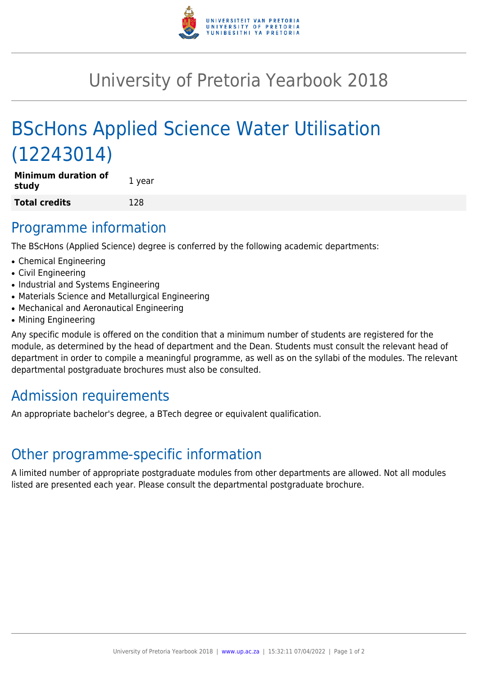

## University of Pretoria Yearbook 2018

# BScHons Applied Science Water Utilisation (12243014)

| Minimum duration of<br>study | 1 year |
|------------------------------|--------|
| <b>Total credits</b>         | 128    |

#### Programme information

The BScHons (Applied Science) degree is conferred by the following academic departments:

- Chemical Engineering
- Civil Engineering
- Industrial and Systems Engineering
- Materials Science and Metallurgical Engineering
- Mechanical and Aeronautical Engineering
- Mining Engineering

Any specific module is offered on the condition that a minimum number of students are registered for the module, as determined by the head of department and the Dean. Students must consult the relevant head of department in order to compile a meaningful programme, as well as on the syllabi of the modules. The relevant departmental postgraduate brochures must also be consulted.

### Admission requirements

An appropriate bachelor's degree, a BTech degree or equivalent qualification.

### Other programme-specific information

A limited number of appropriate postgraduate modules from other departments are allowed. Not all modules listed are presented each year. Please consult the departmental postgraduate brochure.